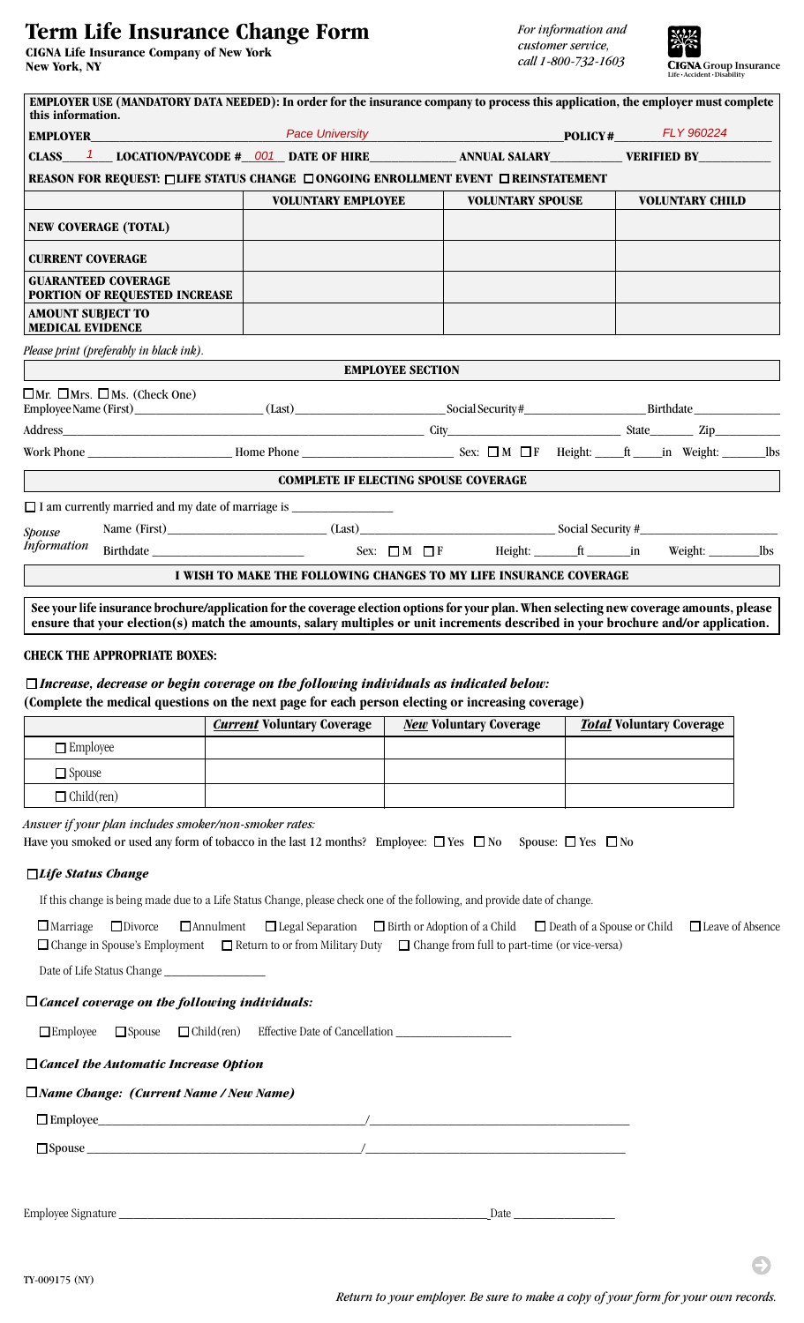# **Term Life Insurance Change Form**

**CIGNA Life Insurance Company of New York New York, NY**



| this information.                                   |                                                                                                                                                                                                                                                                                 | <b>EMPLOYER USE (MANDATORY DATA NEEDED): In order for the insurance company to process this application, the employer must complete</b> |                         |                         |  |                        |  |
|-----------------------------------------------------|---------------------------------------------------------------------------------------------------------------------------------------------------------------------------------------------------------------------------------------------------------------------------------|-----------------------------------------------------------------------------------------------------------------------------------------|-------------------------|-------------------------|--|------------------------|--|
|                                                     |                                                                                                                                                                                                                                                                                 | Pace University Pace University POLICY# FLY 960224                                                                                      |                         |                         |  |                        |  |
|                                                     | CLASS <sup>1</sup> LOCATION/PAYCODE # 001 DATE OF HIRE ANNUAL SALARY VERIFIED BY                                                                                                                                                                                                |                                                                                                                                         |                         |                         |  |                        |  |
|                                                     | REASON FOR REQUEST: □LIFE STATUS CHANGE □ONGOING ENROLLMENT EVENT □ REINSTATEMENT                                                                                                                                                                                               |                                                                                                                                         |                         |                         |  |                        |  |
|                                                     |                                                                                                                                                                                                                                                                                 | <b>VOLUNTARY EMPLOYEE</b>                                                                                                               |                         | <b>VOLUNTARY SPOUSE</b> |  | <b>VOLUNTARY CHILD</b> |  |
|                                                     | <b>NEW COVERAGE (TOTAL)</b>                                                                                                                                                                                                                                                     |                                                                                                                                         |                         |                         |  |                        |  |
| <b>CURRENT COVERAGE</b>                             |                                                                                                                                                                                                                                                                                 |                                                                                                                                         |                         |                         |  |                        |  |
|                                                     | <b>GUARANTEED COVERAGE</b><br><b>PORTION OF REQUESTED INCREASE</b>                                                                                                                                                                                                              |                                                                                                                                         |                         |                         |  |                        |  |
| <b>AMOUNT SUBJECT TO</b><br><b>MEDICAL EVIDENCE</b> |                                                                                                                                                                                                                                                                                 |                                                                                                                                         |                         |                         |  |                        |  |
|                                                     | Please print (preferably in black ink).                                                                                                                                                                                                                                         |                                                                                                                                         |                         |                         |  |                        |  |
|                                                     |                                                                                                                                                                                                                                                                                 |                                                                                                                                         | <b>EMPLOYEE SECTION</b> |                         |  |                        |  |
|                                                     | $\Box$ Mr. $\Box$ Mrs. $\Box$ Ms. (Check One)                                                                                                                                                                                                                                   |                                                                                                                                         |                         |                         |  |                        |  |
|                                                     |                                                                                                                                                                                                                                                                                 |                                                                                                                                         |                         |                         |  |                        |  |
|                                                     |                                                                                                                                                                                                                                                                                 |                                                                                                                                         |                         |                         |  |                        |  |
|                                                     |                                                                                                                                                                                                                                                                                 | <b>COMPLETE IF ELECTING SPOUSE COVERAGE</b>                                                                                             |                         |                         |  |                        |  |
|                                                     |                                                                                                                                                                                                                                                                                 |                                                                                                                                         |                         |                         |  |                        |  |
| <b>Spouse</b>                                       |                                                                                                                                                                                                                                                                                 |                                                                                                                                         |                         |                         |  |                        |  |
| <b>Information</b>                                  |                                                                                                                                                                                                                                                                                 |                                                                                                                                         |                         |                         |  |                        |  |
|                                                     |                                                                                                                                                                                                                                                                                 | I WISH TO MAKE THE FOLLOWING CHANGES TO MY LIFE INSURANCE COVERAGE                                                                      |                         |                         |  |                        |  |
|                                                     | See your life insurance brochure/application for the coverage election options for your plan. When selecting new coverage amounts, please<br>ensure that your election(s) match the amounts, salary multiples or unit increments described in your brochure and/or application. |                                                                                                                                         |                         |                         |  |                        |  |

### **CHECK THE APPROPRIATE BOXES:**

## *Increase, decrease or begin coverage on the following individuals as indicated below:*

**(Complete the medical questions on the next page for each person electing or increasing coverage)**

|                   | <b>Current Voluntary Coverage</b> | <b>New Voluntary Coverage</b> | <b>Total Voluntary Coverage</b> |
|-------------------|-----------------------------------|-------------------------------|---------------------------------|
| $\Box$ Employee   |                                   |                               |                                 |
| $\Box$ Spouse     |                                   |                               |                                 |
| $\Box$ Child(ren) |                                   |                               |                                 |

*Answer if your plan includes smoker/non-smoker rates:*

Have you smoked or used any form of tobacco in the last 12 months? Employee:  $\Box$  Yes  $\Box$  No Spouse:  $\Box$  Yes  $\Box$  No

#### *Life Status Change*

If this change is being made due to a Life Status Change, please check one of the following, and provide date of change.

 Marriage Divorce Annulment Legal Separation Birth or Adoption of a Child Death of a Spouse or Child Leave of Absence  $\Box$  Change in Spouse's Employment  $\Box$  Return to or from Military Duty  $\Box$  Change from full to part-time (or vice-versa)

Date of Life Status Change

#### *Cancel coverage on the following individuals:*

 $\square$  Employee  $\square$  Spouse  $\square$  Child(ren) Effective Date of Cancellation  $\square$ 

#### *Cancel the Automatic Increase Option*

#### *Name Change: (Current Name / New Name)*

 Employee\_\_\_\_\_\_\_\_\_\_\_\_\_\_\_\_\_\_\_\_\_\_\_\_\_\_\_\_\_\_\_\_\_\_\_\_\_/\_\_\_\_\_\_\_\_\_\_\_\_\_\_\_\_\_\_\_\_\_\_\_\_\_\_\_\_\_\_\_\_\_\_\_\_ Spouse \_\_\_\_\_\_\_\_\_\_\_\_\_\_\_\_\_\_\_\_\_\_\_\_\_\_\_\_\_\_\_\_\_\_\_\_\_\_/\_\_\_\_\_\_\_\_\_\_\_\_\_\_\_\_\_\_\_\_\_\_\_\_\_\_\_\_\_\_\_\_\_\_\_\_

Employee Signature \_\_\_\_\_\_\_\_\_\_\_\_\_\_\_\_\_\_\_\_\_\_\_\_\_\_\_\_\_\_\_\_\_\_\_\_\_\_\_\_\_\_\_\_\_\_\_\_\_\_\_ Date \_\_\_\_\_\_\_\_\_\_\_\_\_\_

TY-009175 (NY)